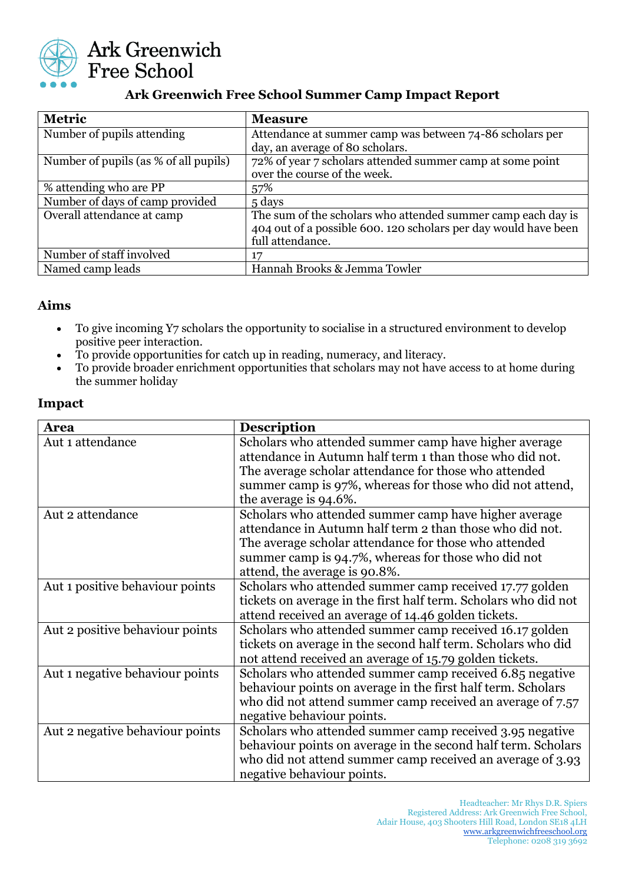

# **Ark Greenwich Free School Summer Camp Impact Report**

| <b>Metric</b>                         | <b>Measure</b>                                                  |
|---------------------------------------|-----------------------------------------------------------------|
| Number of pupils attending            | Attendance at summer camp was between 74-86 scholars per        |
|                                       | day, an average of 80 scholars.                                 |
| Number of pupils (as % of all pupils) | 72% of year 7 scholars attended summer camp at some point       |
|                                       | over the course of the week.                                    |
| % attending who are PP                | 57%                                                             |
| Number of days of camp provided       | 5 days                                                          |
| Overall attendance at camp            | The sum of the scholars who attended summer camp each day is    |
|                                       | 404 out of a possible 600. 120 scholars per day would have been |
|                                       | full attendance.                                                |
| Number of staff involved              | 17                                                              |
| Named camp leads                      | Hannah Brooks & Jemma Towler                                    |

#### **Aims**

- To give incoming Y7 scholars the opportunity to socialise in a structured environment to develop positive peer interaction.
- To provide opportunities for catch up in reading, numeracy, and literacy.
- To provide broader enrichment opportunities that scholars may not have access to at home during the summer holiday

#### **Impact**

| <b>Area</b>                     | <b>Description</b>                                              |
|---------------------------------|-----------------------------------------------------------------|
| Aut 1 attendance                | Scholars who attended summer camp have higher average           |
|                                 | attendance in Autumn half term 1 than those who did not.        |
|                                 | The average scholar attendance for those who attended           |
|                                 | summer camp is 97%, whereas for those who did not attend,       |
|                                 | the average is 94.6%.                                           |
| Aut 2 attendance                | Scholars who attended summer camp have higher average           |
|                                 | attendance in Autumn half term 2 than those who did not.        |
|                                 | The average scholar attendance for those who attended           |
|                                 | summer camp is 94.7%, whereas for those who did not             |
|                                 | attend, the average is 90.8%.                                   |
| Aut 1 positive behaviour points | Scholars who attended summer camp received 17.77 golden         |
|                                 | tickets on average in the first half term. Scholars who did not |
|                                 | attend received an average of 14.46 golden tickets.             |
| Aut 2 positive behaviour points | Scholars who attended summer camp received 16.17 golden         |
|                                 | tickets on average in the second half term. Scholars who did    |
|                                 | not attend received an average of 15.79 golden tickets.         |
| Aut 1 negative behaviour points | Scholars who attended summer camp received 6.85 negative        |
|                                 | behaviour points on average in the first half term. Scholars    |
|                                 | who did not attend summer camp received an average of 7.57      |
|                                 | negative behaviour points.                                      |
| Aut 2 negative behaviour points | Scholars who attended summer camp received 3.95 negative        |
|                                 | behaviour points on average in the second half term. Scholars   |
|                                 | who did not attend summer camp received an average of 3.93      |
|                                 | negative behaviour points.                                      |